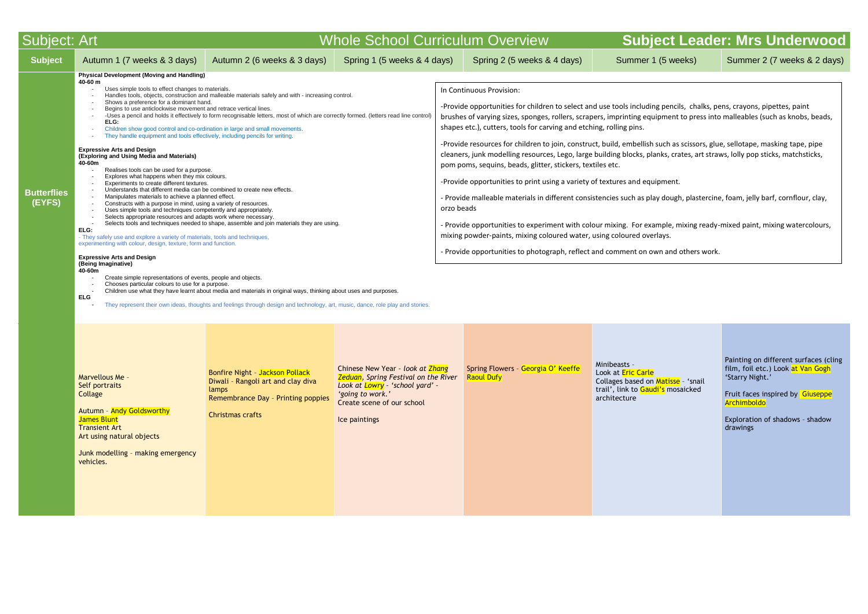| Subject: Art                 |                                                                                                                                                                                                                                                                                                                                                                                                                                                                                                                                                                                                                                                                                                                                                                                                                                                                                                                                                                                                                                                                                                                                                                                                                                                                                                                                                                                                                        |                                                                                                                                                                                                                                                                                                                                                                                                                                                                                                                                                                                                | <b>Whole School Curriculum Overview</b>                                                                                                                                                |                                                                                                                                                                                                                                                                                                                                                                                                                                                                                                                                                                                                                                                                                                                                                                                                                                                                                                     | <b>Subject</b>                                                                                                        |
|------------------------------|------------------------------------------------------------------------------------------------------------------------------------------------------------------------------------------------------------------------------------------------------------------------------------------------------------------------------------------------------------------------------------------------------------------------------------------------------------------------------------------------------------------------------------------------------------------------------------------------------------------------------------------------------------------------------------------------------------------------------------------------------------------------------------------------------------------------------------------------------------------------------------------------------------------------------------------------------------------------------------------------------------------------------------------------------------------------------------------------------------------------------------------------------------------------------------------------------------------------------------------------------------------------------------------------------------------------------------------------------------------------------------------------------------------------|------------------------------------------------------------------------------------------------------------------------------------------------------------------------------------------------------------------------------------------------------------------------------------------------------------------------------------------------------------------------------------------------------------------------------------------------------------------------------------------------------------------------------------------------------------------------------------------------|----------------------------------------------------------------------------------------------------------------------------------------------------------------------------------------|-----------------------------------------------------------------------------------------------------------------------------------------------------------------------------------------------------------------------------------------------------------------------------------------------------------------------------------------------------------------------------------------------------------------------------------------------------------------------------------------------------------------------------------------------------------------------------------------------------------------------------------------------------------------------------------------------------------------------------------------------------------------------------------------------------------------------------------------------------------------------------------------------------|-----------------------------------------------------------------------------------------------------------------------|
| <b>Subject</b>               | Autumn 1 (7 weeks & 3 days)                                                                                                                                                                                                                                                                                                                                                                                                                                                                                                                                                                                                                                                                                                                                                                                                                                                                                                                                                                                                                                                                                                                                                                                                                                                                                                                                                                                            | Autumn 2 (6 weeks & 3 days)                                                                                                                                                                                                                                                                                                                                                                                                                                                                                                                                                                    | Spring 1 (5 weeks & 4 days)                                                                                                                                                            | Spring 2 (5 weeks & 4 days)                                                                                                                                                                                                                                                                                                                                                                                                                                                                                                                                                                                                                                                                                                                                                                                                                                                                         | Summer 1 (5 we                                                                                                        |
| <b>Butterflies</b><br>(EYFS) | <b>Physical Development (Moving and Handling)</b><br>40-60 m<br>Uses simple tools to effect changes to materials.<br>Shows a preference for a dominant hand.<br>$\overline{\phantom{a}}$<br>Begins to use anticlockwise movement and retrace vertical lines.<br>ELG:<br>Children show good control and co-ordination in large and small movements.<br>They handle equipment and tools effectively, including pencils for writing.<br><b>Expressive Arts and Design</b><br>(Exploring and Using Media and Materials)<br>40-60m<br>Realises tools can be used for a purpose.<br>Explores what happens when they mix colours.<br>Experiments to create different textures.<br>Understands that different media can be combined to create new effects.<br>$\blacksquare$<br>Manipulates materials to achieve a planned effect.<br>$\blacksquare$<br>Constructs with a purpose in mind, using a variety of resources.<br>Uses simple tools and techniques competently and appropriately.<br>Selects appropriate resources and adapts work where necessary.<br>ELG:<br>- They safely use and explore a variety of materials, tools and techniques,<br>experimenting with colour, design, texture, form and function.<br><b>Expressive Arts and Design</b><br>(Being Imaginative)<br>40-60m<br>Create simple representations of events, people and objects.<br>Chooses particular colours to use for a purpose.<br><b>ELG</b> | Handles tools, objects, construction and malleable materials safely and with - increasing control.<br>-Uses a pencil and holds it effectively to form recognisable letters, most of which are correctly formed. (letters read line control)<br>Selects tools and techniques needed to shape, assemble and join materials they are using.<br>Children use what they have learnt about media and materials in original ways, thinking about uses and purposes.<br>They represent their own ideas, thoughts and feelings through design and technology, art, music, dance, role play and stories. |                                                                                                                                                                                        | In Continuous Provision:<br>-Provide opportunities for children to select and use tools including penci<br>brushes of varying sizes, sponges, rollers, scrapers, imprinting equipment<br>shapes etc.), cutters, tools for carving and etching, rolling pins.<br>-Provide resources for children to join, construct, build, embellish such as<br>cleaners, junk modelling resources, Lego, large building blocks, planks, cra<br>pom poms, sequins, beads, glitter, stickers, textiles etc.<br>-Provide opportunities to print using a variety of textures and equipment.<br>- Provide malleable materials in different consistencies such as play dougl<br>orzo beads<br>- Provide opportunities to experiment with colour mixing. For example, n<br>mixing powder-paints, mixing coloured water, using coloured overlays.<br>- Provide opportunities to photograph, reflect and comment on own and |                                                                                                                       |
|                              | Marvellous Me -<br>Self portraits<br>Collage<br>Autumn - Andy Goldsworthy<br>James Blunt<br><b>Transient Art</b><br>Art using natural objects<br>Junk modelling - making emergency<br>vehicles.                                                                                                                                                                                                                                                                                                                                                                                                                                                                                                                                                                                                                                                                                                                                                                                                                                                                                                                                                                                                                                                                                                                                                                                                                        | Bonfire Night - Jackson Pollack<br>Diwali - Rangoli art and clay diva<br>lamps<br>Remembrance Day - Printing poppies<br><b>Christmas crafts</b>                                                                                                                                                                                                                                                                                                                                                                                                                                                | Chinese New Year - look at Zhang<br><b>Zeduan</b> , Spring Festival on the River<br>Look at Lowry - 'school yard' -<br>'going to work.'<br>Create scene of our school<br>Ice paintings | Spring Flowers - Georgia O' Keeffe<br><b>Raoul Dufy</b>                                                                                                                                                                                                                                                                                                                                                                                                                                                                                                                                                                                                                                                                                                                                                                                                                                             | Minibeasts -<br>Look at <b>Eric Carle</b><br>Collages based on Matisse<br>trail', link to Gaudi's mos<br>architecture |

# **and Exergie Sect Leader: Mrs Underwood**

**(5 weeks) Summer 2 (7 weeks & 2 days) Summer 2 (7 weeks & 2 days)** 

g pencils, chalks, pens, crayons, pipettes, paint ipment to press into malleables (such as knobs, beads,

such as scissors, glue, sellotape, masking tape, pipe anks, crates, art straws, lolly pop sticks, matchsticks,

- Provide materials in different parterent consistencies in different play dough, plastercine, foam, in that p

mple, mixing ready-mixed paint, mixing watercolours,

wn and others work.

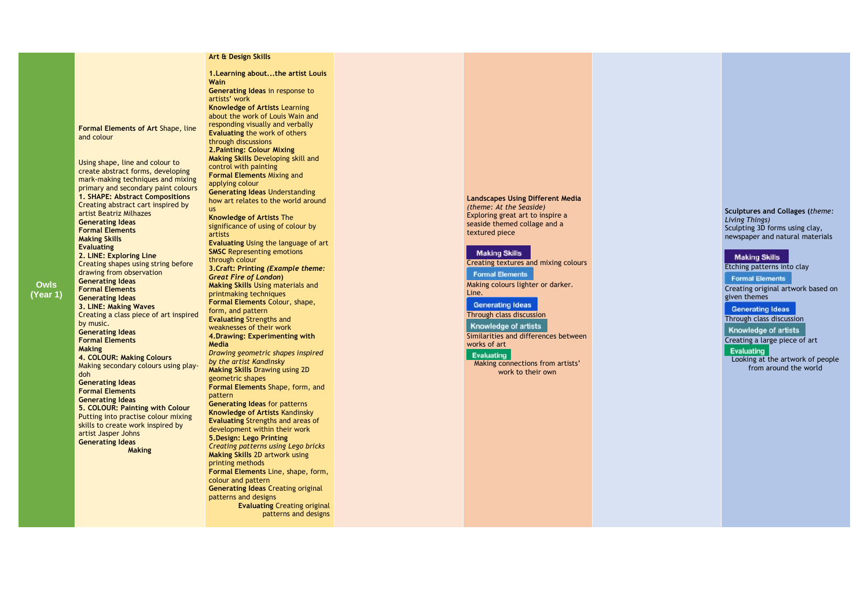**Owls (Year 1)** **Formal Elements of Art** Shape, line and colour

Using shape, line and colour to create abstract forms, developing mark -making techniques and mixing primary and secondary paint colours **1. SHAPE: Abstract Compositions**  Creating abstract cart inspired by artist Beatriz Milhazes **Generating Ideas Formal Elements Making Skills Evaluating 2. LINE: Exploring Line** Creating shapes using string before drawing from observation **Generating Ideas Formal Elements Generating Ideas 3. LINE: Making Waves**  Creating a class piece of art inspired by music. **Generating Ideas Formal Elements Making 4. COLOUR: Making Colours**  Making secondary colours using play doh **Generating Ideas Formal Elements Generating Ideas 5. COLOUR: Painting with Colour**  Putting into practise colour mixing skills to create work inspired by artist Jasper Johns **Generating Ideas Making**

# **Art & Design Skill[s](https://www.kapowprimary.com/subjects/computing/key-stage-1/year-1/digital-imagery/)**

**1.Learning about...the artist Louis Wain Generating Ideas** in response to artists' work **Knowledge of Artists** Learning about the work of Louis Wain and responding visually and verbally **Evaluating** the work of others through discussions **2.Painting: Colour Mixing Making Skills** Developing skill and control with painting **Formal Elements** Mixing and applying colour **Generating Ideas** Understanding how art relates to the world around us **Knowledge of Artists** The significance of using of colour by artists **Evaluating** Using the language of art **SMSC Representing emotions** through colour **3.Craft: Printing** *(Example theme: Great Fire of London* **) Making Skills** Using materials and printmaking techniques **Formal Elements** Colour, shape, form, and pattern **Evaluating** Strengths and weaknesses of their work **4.Drawing: Experimenting with Media** *Drawing geometric shapes inspired by the artist Kandinsky* **Making Skills** Drawing using 2D geometric shapes **Formal Elements** Shape, form, and pattern **Generating Ideas** for patterns **Knowledge of Artists** Kandinsky **Evaluating** Strengths and areas of development within their work **5.Design: Lego Printing** *Creating patterns using Lego bricks* **Making Skills** 2D artwork using printing methods **Formal Elements** Line, shape, form, colour and pattern **Generating Ideas** Creating original patterns and designs **Evaluating** Creating original patterns and designs

# **Landscapes Using Different Media** *(theme: At the Seaside)* Exploring great art to inspire a seaside themed collage and a textured piece

### **Making Skills**

Creating textures and mixing colours

#### **Formal Elements**

Making colours lighter or darker. Line.

#### **Generating Ideas**

Through class discussion

# Knowledge of artists

Similarities and differences between works of art

### Evaluating

Making connections from artists' work to their own

## **Sculptures and Collages (***theme: Living Things)* Sculpting 3D forms using clay, newspaper and natural materials

# **Making Skills**

Etching patterns into clay

**Formal Elements** 

Creating original artwork based on given themes

**Generating Ideas** 

Through class discussion

Knowledge of artists

Creating a large piece of art

Evaluating

Looking at the artwork of people from around the world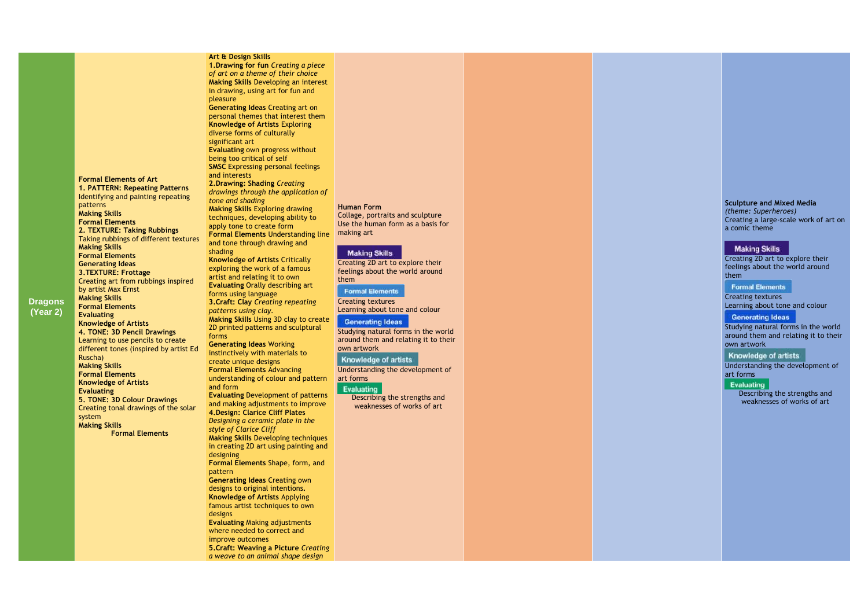# **Dragons (Year 2)**

**Formal Elements of Art 1. PATTERN: Repeating Patterns**  Identifying and painting repeating patterns **Making Skills Formal Elements 2. TEXTURE: Taking Rubbings**  Taking rubbings of different textures **Making Skills Formal Elements Generating Ideas 3.TEXTURE: Frottage** Creating art from rubbings inspired by artist Max Ernst **Making Skills Formal Elements Evaluating Knowledge of Artists 4. TONE: 3D Pencil Drawings**  Learning to use pencils to create different tones (inspired by artist Ed Ruscha) **Making Skills Formal Elements Knowledge of Artists Evaluating 5. TONE: 3D Colour Drawings**  Creating tonal drawings of the solar system **Making Skills Formal Elements**

#### **Art & Design Skills**

**1.Drawing for fun** *Creating a piece of art on a theme of their choice* **Making Skills** Developing an interest in drawing, using art for fun and pleasure

**Generating Ideas** Creating art on personal themes that interest them **Knowledge of Artists** Exploring diverse forms of culturally significant art **Evaluating** own progress without being too critical of self

**SMSC** Expressing personal feelings and interests **2.Drawing: Shading** *Creating drawings through the application of tone and shading* **Making Skills** Exploring drawing

techniques, developing ability to apply tone to create form **Formal Elements** Understanding line making art and tone through drawing and

shading **Knowledge of Artists** Critically exploring the work of a famous artist and relating it to own **Evaluating** Orally describing art forms using language **3.Craft: Clay** *Creating repeating patterns using clay.* **Making Skills** Using 3D clay to create 2D printed patterns and sculptural forms **Generating Ideas** Working instinctively with materials to create unique designs **Formal Elements** Advancing understanding of colour and pattern and form **Evaluating** Development of patterns and making adjustments to improve **4.Design: Clarice Cliff Plates**  *Designing a ceramic plate in the style of Clarice Cliff* **Making Skills** Developing techniques in creating 2D art using painting and designing **Formal Elements** Shape, form, and pattern **Generating Ideas** Creating own designs to original intentions **. Knowledge of Artists** Applying famous artist techniques to own designs **Evaluating** Making adjustments where needed to correct and improve outcomes **5.Craft: Weaving a Picture** *Creating a weave to an animal shape design*

# **Human Form**

Collage, portraits and sculpture Use the human form as a basis for

### **Making Skills**

Creating 2D art to explore their feelings about the world around them

**Formal Elements** 

Creating textures Learning about tone and colour

# **Generating Ideas**

Studying natural forms in the world around them and relating it to their own artwork

# **Knowledge of artists**

Understanding the development of art forms

Evaluating

Describing the strengths and weaknesses of works of art

#### **Sculpture and Mixed Media** *(theme: Superheroes)*

Creating a large -scale work of art on a comic theme

# **Making Skills**

Creating 2D art to explore their feelings about the world around them

**Formal Elements** 

Creating textures

Learning about tone and colour

**Generating Ideas** 

Studying natural forms in the world around them and relating it to their own artwork

Knowledge of artists

Understanding the development of art forms

# Evaluating

Describing the strengths and weaknesses of works of art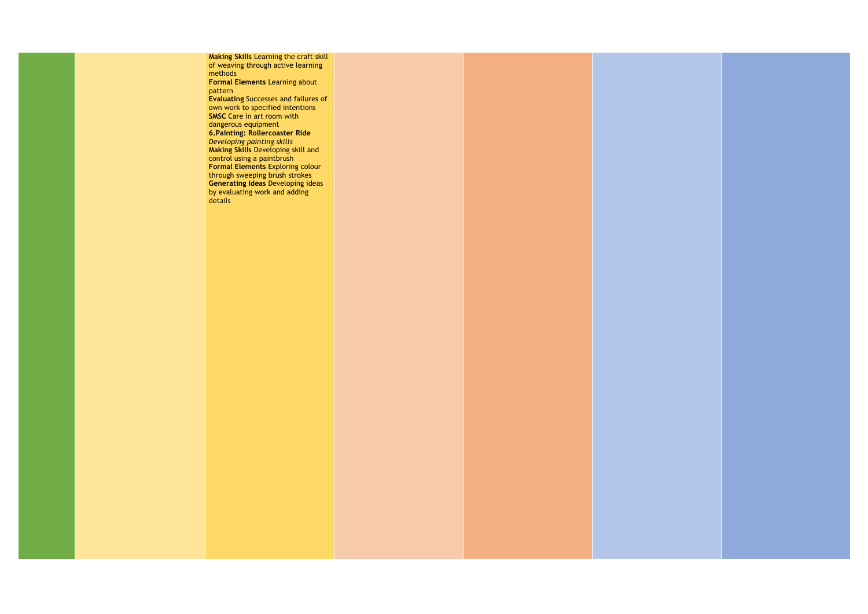**Making Skills** Learning the craft skill of weaving through active learning methods **Formal Elements** Learning about pattern **Evaluating** Successes and failures of own work to specified intentions **SMSC** Care in art room with dangerous equipment **6.Painting: Rollercoaster Ride**  *Developing painting skills* **Making Skills** Developing skill and control using a paintbrush **Formal Elements** Exploring colour through sweeping brush strokes **Generating Ideas** Developing ideas by evaluating work and adding details

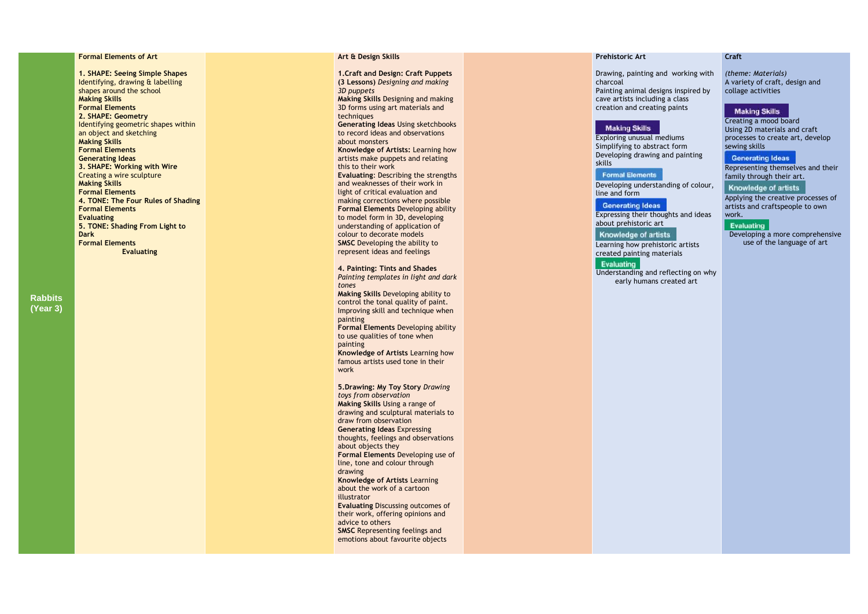# **Rabbits (Year 3)**

# **Formal Elements of Art**

**1. SHAPE: Seeing Simple Shapes**  Identifying, drawing & labe lling shapes around the school **Making Skills Formal Elements 2. SHAPE: Geometry** Identifying geometric shapes within an object and sketching **Making Skills Formal Elements Generating Ideas 3. SHAPE: Working with Wire** Creating a wire sculpture **Making Skills Formal Elements 4. TONE: The Four Rules of Shading Formal Elements Evaluating 5. TONE: Shading From Light to Dark Formal Elements Evaluating**

# **Art & Design Skills**

**1.Craft and Design: Craft Puppets (3 Lessons)** *Designing and making 3D puppets*

**Making Skills** Designing and making 3D forms using art materials and techniques **Generating Ideas** Using sketchbooks

to record ideas and observations about monsters **Knowledge of Artists:** Learning how

artists make puppets and relating this to their work **Evaluating**: Describing the strengths and weaknesses of their work in light of critical evaluation and making corrections where possible **Formal Elements** Developing ability to model form in 3D, developing understanding of application of colour to decorate models **SMSC** Developing the ability to represent ideas and feelings

**4. Painting: Tints and Shades** 

created painting materials Evaluating

*Painting templates in light and dark tones*

**Making Skills** Developing ability to control the tonal quality of paint. Improving skill and technique when painting

**Formal Elements** Developing ability to use qualities of tone when painting

**Knowledge of Artists** Learning how famous artists used tone in their work

**5.Drawing: My Toy Story** *Drawing toys from observation* **Making Skills** Using a range of drawing and sculptural materials to draw from observation **Generating Ideas** Expressing thoughts, feelings and observations about objects they **Formal Elements** Developing use of line, tone and colour through drawing **Knowledge of Artists** Learning about the work of a cartoon illustrator **Evaluating** Discussing outcomes of their work, offering opinions and advice to others **SMSC** Representing feelings and emotions about favourite objects

#### **Prehistoric Art**

# Drawing, painting and working with

charcoal Painting animal designs inspired by cave artists including a class creation and creating paints

# **Making Skills**

Exploring unusual mediums Simplifying to abstract form Developing drawing and painting skills

**Formal Elements** 

Developing understanding of colour,

line and form

# **Generating Ideas**

Expressing their thoughts and ideas

about prehistoric art

# **Knowledge of artists**

Learning how prehistoric artists

Understanding and reflecting on why early humans created art

# **Craft**

*(theme: Materials)* A variety of craft, design and collage activities

# **Making Skills**

Creating a mood board Using 2D materials and craft processes to create art, develop sewing skills

# **Generating Ideas**

Representing themselves and their family through their art.

# Knowledge of artists

Applying the creative processes of artists and craftspeople to own work.

## Evaluating

Developing a more comprehensive use of the language of art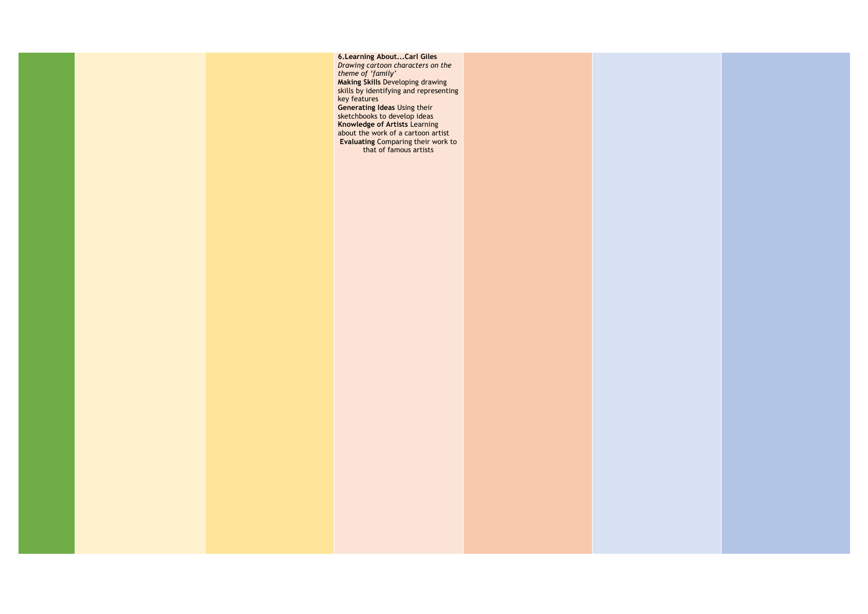

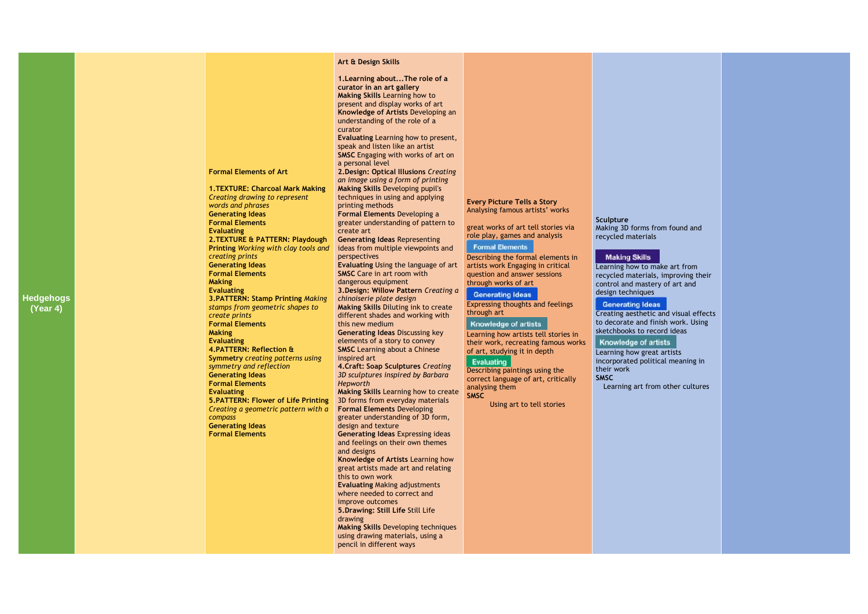| <b>Hedgehogs</b><br>(Year 4) | <b>Making</b><br><b>Making</b><br>compass | <b>Formal Elements of Art</b><br>1. TEXTURE: Charcoal Mark Making<br>Creating drawing to represent<br>words and phrases<br><b>Generating Ideas</b><br><b>Formal Elements</b><br><b>Evaluating</b><br>2. TEXTURE & PATTERN: Playdough<br>Printing Working with clay tools and<br>creating prints<br><b>Generating Ideas</b><br><b>Formal Elements</b><br><b>Evaluating</b><br><b>3.PATTERN: Stamp Printing Making</b><br>stamps from geometric shapes to<br>create prints<br><b>Formal Elements</b><br><b>Evaluating</b><br>4. PATTERN: Reflection &<br><b>Symmetry creating patterns using</b><br>symmetry and reflection<br><b>Generating Ideas</b><br><b>Formal Elements</b><br><b>Evaluating</b><br>5. PATTERN: Flower of Life Printing<br>Creating a geometric pattern with a<br><b>Generating Ideas</b><br><b>Formal Elements</b> | Art & Design Skills<br>1. Learning about The role of a<br>curator in an art gallery<br><b>Making Skills Learning how to</b><br>present and display works of art<br>Knowledge of Artists Developing an<br>understanding of the role of a<br>curator<br>Evaluating Learning how to present,<br>speak and listen like an artist<br><b>SMSC</b> Engaging with works of art on<br>a personal level<br>2. Design: Optical Illusions Creating<br>an image using a form of printing<br>Making Skills Developing pupil's<br>techniques in using and applying<br>printing methods<br><b>Formal Elements Developing a</b><br>greater understanding of pattern to<br>create art<br><b>Generating Ideas Representing</b><br>ideas from multiple viewpoints and<br>perspectives<br>Evaluating Using the language of art<br><b>SMSC</b> Care in art room with<br>dangerous equipment<br>3. Design: Willow Pattern Creating a<br>chinoiserie plate design<br>Making Skills Diluting ink to create<br>different shades and working with<br>this new medium<br><b>Generating Ideas Discussing key</b><br>elements of a story to convey<br><b>SMSC</b> Learning about a Chinese<br>inspired art<br><b>4. Craft: Soap Sculptures Creating</b><br>3D sculptures inspired by Barbara<br>Hepworth<br>Making Skills Learning how to create<br>3D forms from everyday materials<br><b>Formal Elements Developing</b><br>greater understanding of 3D form,<br>design and texture<br><b>Generating Ideas Expressing ideas</b><br>and feelings on their own themes<br>and designs<br>Knowledge of Artists Learning how<br>great artists made art and relating<br>this to own work<br><b>Evaluating Making adjustments</b><br>where needed to correct and<br>improve outcomes<br>5. Drawing: Still Life Still Life<br>drawing<br><b>Making Skills Developing techniques</b><br>using drawing materials, using a<br>pencil in different ways | <b>Every Picture Tells a Story</b><br>Analysing famous artists' works<br>great works of art tell stories via<br>role play, games and analysis<br><b>Formal Elements</b><br>Describing the formal elements in<br>artists work Engaging in critical<br>question and answer sessions<br>through works of art<br><b>Generating Ideas</b><br>Expressing thoughts and feelings<br>through art<br><b>Knowledge of artists</b><br>Learning how artists tell stories in<br>their work, recreating famous works<br>of art, studying it in depth<br>Evaluating<br>Describing paintings using the<br>correct language of art, critically<br>analysing them<br><b>SMSC</b><br>Using art to tell stories | Sculpture<br>Making 3D forms from found and<br>recycled materials<br><b>Making Skills</b><br>Learning how to make art from<br>recycled materials, improving their<br>control and mastery of art and<br>design techniques<br><b>Generating Ideas</b><br>Creating aesthetic and visual effects<br>to decorate and finish work. Using<br>sketchbooks to record ideas<br><b>Knowledge of artists</b><br>Learning how great artists<br>incorporated political meaning in<br>their work<br><b>SMSC</b><br>Learning art from other cultures |
|------------------------------|-------------------------------------------|----------------------------------------------------------------------------------------------------------------------------------------------------------------------------------------------------------------------------------------------------------------------------------------------------------------------------------------------------------------------------------------------------------------------------------------------------------------------------------------------------------------------------------------------------------------------------------------------------------------------------------------------------------------------------------------------------------------------------------------------------------------------------------------------------------------------------------------|----------------------------------------------------------------------------------------------------------------------------------------------------------------------------------------------------------------------------------------------------------------------------------------------------------------------------------------------------------------------------------------------------------------------------------------------------------------------------------------------------------------------------------------------------------------------------------------------------------------------------------------------------------------------------------------------------------------------------------------------------------------------------------------------------------------------------------------------------------------------------------------------------------------------------------------------------------------------------------------------------------------------------------------------------------------------------------------------------------------------------------------------------------------------------------------------------------------------------------------------------------------------------------------------------------------------------------------------------------------------------------------------------------------------------------------------------------------------------------------------------------------------------------------------------------------------------------------------------------------------------------------------------------------------------------------------------------------------------------------------------------------------------------------------------------------------------------------------------------------------------------------------------------------|--------------------------------------------------------------------------------------------------------------------------------------------------------------------------------------------------------------------------------------------------------------------------------------------------------------------------------------------------------------------------------------------------------------------------------------------------------------------------------------------------------------------------------------------------------------------------------------------------------------------------------------------------------------------------------------------|--------------------------------------------------------------------------------------------------------------------------------------------------------------------------------------------------------------------------------------------------------------------------------------------------------------------------------------------------------------------------------------------------------------------------------------------------------------------------------------------------------------------------------------|

# from found and

# as l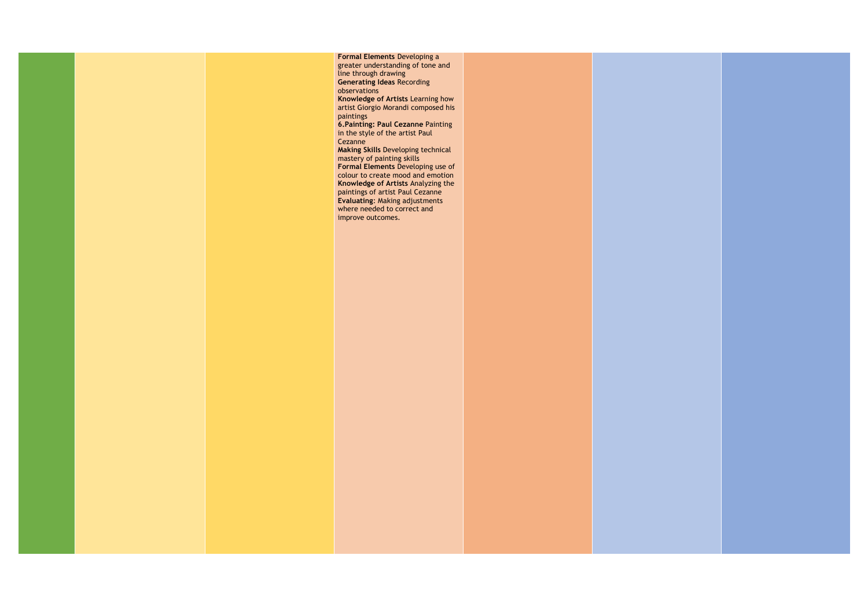

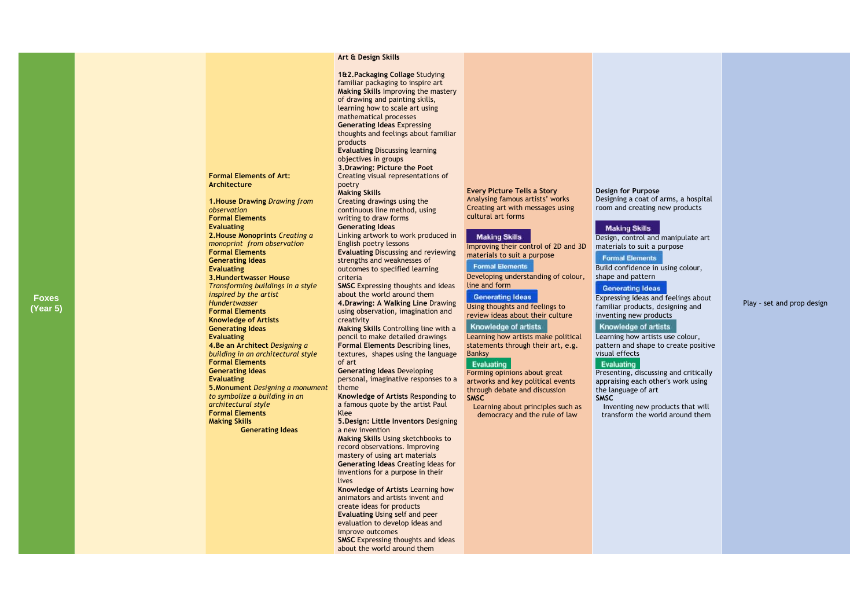**Foxes (Year 5)** **Formal Elements of Art:** 

**Architecture** 

**1.House Drawing** *Drawing from* 

*observation*  **Formal Elements Evaluating**

**2.House Monoprints** *Creating a monoprint from observation* 

**Formal Elements Generating Ideas Evaluating**

**3.Hundertwasser House** 

*Transforming buildings in a style* 

*inspired by the artist Hundertwasser* **Formal Elements Knowledge of Artists Generating Ideas Evaluating**

**4.Be an Architect** *Designing a building in an architectural style* 

**Formal Elements Generating Ideas Evaluating**

**5.Monument** *Designing a monument* 

*to symbolize a building in an* 

*architectural style*  **Formal Elements Making Skills**

**Generating Ideas**

# **Art & Design Skills**

**SMSC** Expressing thoughts and ideas about the world around them **4.Drawing: A Walking Line** Drawing using observation, imagination and creativity

**1&2.Packaging Collage** Studying familiar packaging to inspire art **Making Skills** Improving the mastery of drawing and painting skills, learning how to scale art using mathematical processes **Generating Ideas** Expressing thoughts and feelings about familiar products **Evaluating** Discussing learning objectives in groups **3.Drawing: Picture the Poet**  Creating visual representations of poetry **Making Skills**

Creating drawings using the continuous line method, using writing to draw forms **Generating Ideas**  Linking artwork to work produced in

> **Formal Elements** Developing understanding of colour, line and form

#### **Generating Ideas**

English poetry lessons **Evaluating** Discussing and reviewing strengths and weaknesses of outcomes to specified learning criteria

Design, control and manipulate art materials to suit a purpose **Formal Elements** 

**Generating Ideas** Expressing ideas and feelings about familiar products, designing and inventing new products

**Knowledge of artists** 

**Making Skills** 

**Making Skills** Controlling line with a pencil to make detailed drawing s **Formal Elements** Describing lines, textures, shapes using the language of art

**Generating Ideas** Developing personal, imaginative responses to a theme

**Knowledge of Artists** Responding to a famous quote by the artist Paul Klee

**5.Design: Little Inventors** Designing a new invention

**Making Skills** Using sketchbooks to record observations. Improving mastery of using art materials **Generating Ideas** Creating ideas for inventions for a purpose in their lives **Knowledge of Artists** Learning how

animators and artists invent and create ideas for products **Evaluating** Using self and peer evaluation to develop ideas and improve outcomes **SMSC Expressing thoughts and ideas** about the world around them

**Every Picture Tells a Story**  Analysing famous artists' works Creating art with messages using cultural art forms

### **Making Skills**

Improving their control of 2D and 3D materials to suit a purpose

Using thoughts and feelings to review ideas about their culture

Knowledge of artists

Learning how artists make political statements through their art, e.g. Banksy

## Evaluating

Forming opinions about great artworks and key political events through debate and discussion **SMSC**

Learning about principles such as democracy and the rule of law

# **Design for Purpose** Designing a coat of arms, a hospital room and creating new products

Build confidence in using colour, shape and pattern

Learning how artists use colour, pattern and shape to create positive visual effects

# Evaluating

Presenting, discussing and critically appraising each other's work using the language of art

**SMSC**

Inventing new products that will transform the world around them

# Play – set and prop design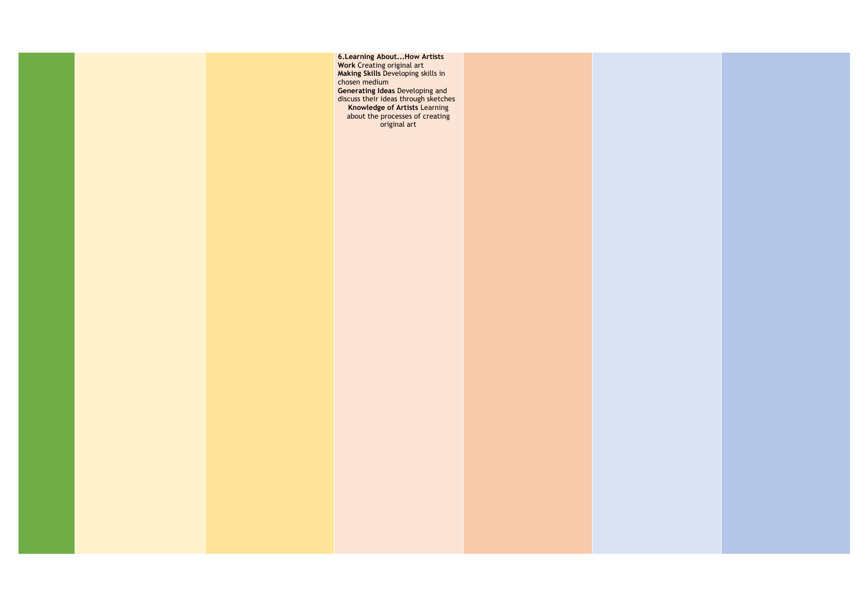

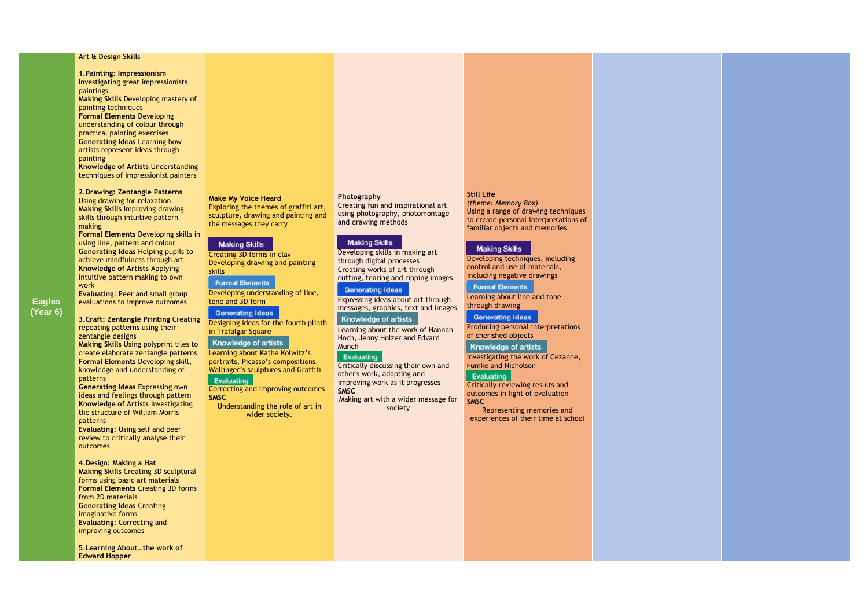**Eagles (Year 6)**

## **Art & Design Skills**

**1.Painting: Impressionism**  Investigating great impressionists paintings **Making Skills** Developing mastery of

painting techniques **Formal Elements** Developing understanding of colour through practical painting exercises

**Generating Ideas** Learning how artists represent ideas through painting

**Knowledge of Artists** Understanding techniques of impressionist painters

**2.Drawing: Zentangle Patterns** 

Using drawing for relaxation **Making Skills** Improving drawing skills through intuitive pattern making

**Formal Elements** Developing skills in using line, pattern and colour **Generating Ideas** Helping pupils to achieve mindfulness through art **Knowledge of Artists** Applying intuitive pattern making to own work

**Evaluating**: Peer and small group evaluations to improve outcomes

**3.Craft: Zentangle Printing** Creating repeating patterns using their zentangle designs

> Learning about Kathe Kolwitz's portraits, Picasso's compositions, Wallinger's sculptures and Graffiti Evaluating

**Making Skills** Using polyprint tiles to create elaborate zentangle patterns **Formal Elements** Developing skill, knowledge and understanding of patterns

**Generating Ideas** Expressing own ideas and feelings through pattern **Knowledge of Artists** Investigating the structure of William Morris patterns

**Evaluating**: Using self and peer review to critically analyse their outcomes

#### **4.Design: Making a Hat**

**Making Skills** Creating 3D sculptural forms using basic art materials **Formal Elements** Creating 3D forms from 2D materials **Generating Ideas** Creating imaginative forms **Evaluating**: Correcting and improving outcomes

**Generating Ideas** Producing personal interpretations of cherished objects

## Knowledge of artists

**5.Learning About…the work of Edward Hopper** 

#### **Make My Voice Heard**

Exploring the themes of graffiti art, sculpture, drawing and painting and the messages they carry

# **Making Skills**

Creating 3D forms in clay Developing drawing and painting skills

# **Formal Elements**

Developing understanding of line, tone and 3D form

**Generating Ideas** 

Designing ideas for the fourth plinth in Trafalgar Square

# **Knowledge of artists**

Correcting and improving outcomes **SMSC**

Understanding the role of art in wider society.

#### **Photography**

Creating fun and inspirational art using photography, photomontage and drawing methods

#### **Making Skills**

Developing skills in making art through digital processes Creating works of art through cutting, tearing and ripping images

#### **Generating Ideas**

Expressing ideas about art through messages, graphics, text and images

# **Knowledge of artists**

Learning about the work of Hannah Hoch, Jenny Holzer and Edvard Munch

#### Evaluating

Critically discussing their own and other's work, adapting and improving work as it progresses **SMSC** Making art with a wider message for

society

# **Still Life**

*(theme: Memory Box)* Using a range of drawing techniques to create personal interpretations of familiar objects and memories

# **Making Skills**

Developing techniques, including control and use of materials, including negative drawings

**Formal Elements** 

Learning about line and tone through drawing

Investigating the work of Cezanne, Fumke and Nicholson

# Evaluating

Critically reviewing results and outcomes in light of evaluation **SMSC**

Representing memories and experiences of their time at school